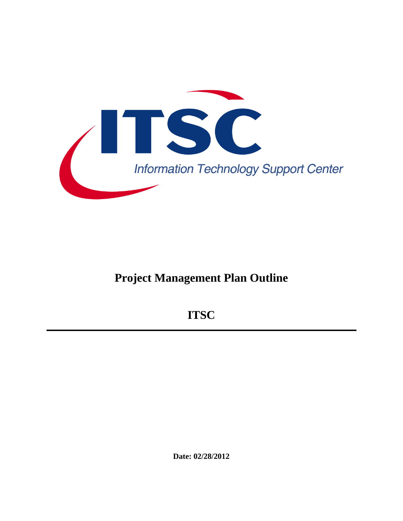

# **Project Management Plan Outline**

**ITSC** 

**Date: 02/28/2012**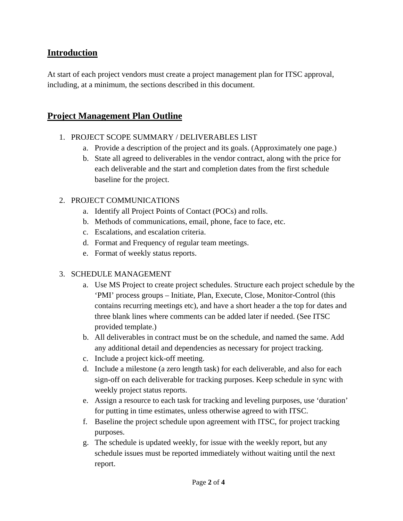# **Introduction**

At start of each project vendors must create a project management plan for ITSC approval, including, at a minimum, the sections described in this document.

# **Project Management Plan Outline**

# 1. PROJECT SCOPE SUMMARY / DELIVERABLES LIST

- a. Provide a description of the project and its goals. (Approximately one page.)
- b. State all agreed to deliverables in the vendor contract, along with the price for each deliverable and the start and completion dates from the first schedule baseline for the project.

#### 2. PROJECT COMMUNICATIONS

- a. Identify all Project Points of Contact (POCs) and rolls.
- b. Methods of communications, email, phone, face to face, etc.
- c. Escalations, and escalation criteria.
- d. Format and Frequency of regular team meetings.
- e. Format of weekly status reports.

#### 3. SCHEDULE MANAGEMENT

- a. Use MS Project to create project schedules. Structure each project schedule by the 'PMI' process groups – Initiate, Plan, Execute, Close, Monitor-Control (this contains recurring meetings etc), and have a short header a the top for dates and three blank lines where comments can be added later if needed. (See ITSC provided template.)
- b. All deliverables in contract must be on the schedule, and named the same. Add any additional detail and dependencies as necessary for project tracking.
- c. Include a project kick-off meeting.
- d. Include a milestone (a zero length task) for each deliverable, and also for each sign-off on each deliverable for tracking purposes. Keep schedule in sync with weekly project status reports.
- e. Assign a resource to each task for tracking and leveling purposes, use 'duration' for putting in time estimates, unless otherwise agreed to with ITSC.
- f. Baseline the project schedule upon agreement with ITSC, for project tracking purposes.
- g. The schedule is updated weekly, for issue with the weekly report, but any schedule issues must be reported immediately without waiting until the next report.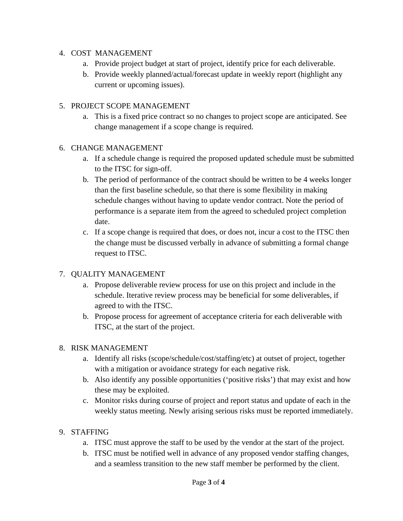#### 4. COST MANAGEMENT

- a. Provide project budget at start of project, identify price for each deliverable.
- b. Provide weekly planned/actual/forecast update in weekly report (highlight any current or upcoming issues).

#### 5. PROJECT SCOPE MANAGEMENT

a. This is a fixed price contract so no changes to project scope are anticipated. See change management if a scope change is required.

#### 6. CHANGE MANAGEMENT

- a. If a schedule change is required the proposed updated schedule must be submitted to the ITSC for sign-off.
- b. The period of performance of the contract should be written to be 4 weeks longer than the first baseline schedule, so that there is some flexibility in making schedule changes without having to update vendor contract. Note the period of performance is a separate item from the agreed to scheduled project completion date.
- c. If a scope change is required that does, or does not, incur a cost to the ITSC then the change must be discussed verbally in advance of submitting a formal change request to ITSC.

# 7. QUALITY MANAGEMENT

- a. Propose deliverable review process for use on this project and include in the schedule. Iterative review process may be beneficial for some deliverables, if agreed to with the ITSC.
- b. Propose process for agreement of acceptance criteria for each deliverable with ITSC, at the start of the project.

# 8. RISK MANAGEMENT

- a. Identify all risks (scope/schedule/cost/staffing/etc) at outset of project, together with a mitigation or avoidance strategy for each negative risk.
- b. Also identify any possible opportunities ('positive risks') that may exist and how these may be exploited.
- c. Monitor risks during course of project and report status and update of each in the weekly status meeting. Newly arising serious risks must be reported immediately.

# 9. STAFFING

- a. ITSC must approve the staff to be used by the vendor at the start of the project.
- b. ITSC must be notified well in advance of any proposed vendor staffing changes, and a seamless transition to the new staff member be performed by the client.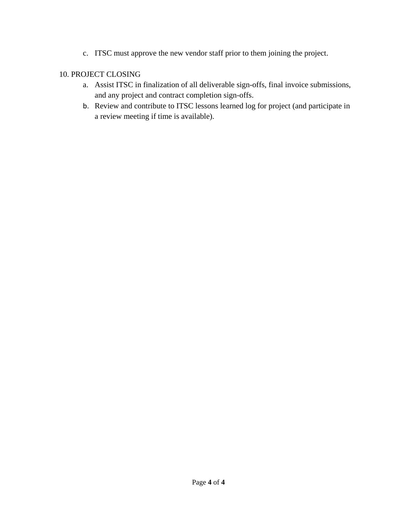c. ITSC must approve the new vendor staff prior to them joining the project.

# 10. PROJECT CLOSING

- a. Assist ITSC in finalization of all deliverable sign-offs, final invoice submissions, and any project and contract completion sign-offs.
- b. Review and contribute to ITSC lessons learned log for project (and participate in a review meeting if time is available).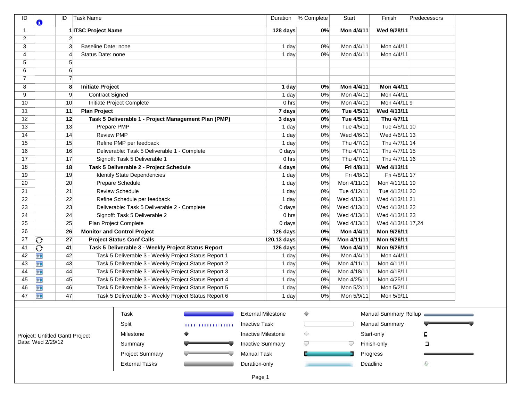| ID             | O                               | ID             | Task Name               |                                                       |   | Duration                  | % Complete | Start       | Finish                | Predecessors          |
|----------------|---------------------------------|----------------|-------------------------|-------------------------------------------------------|---|---------------------------|------------|-------------|-----------------------|-----------------------|
| $\overline{1}$ |                                 |                | 1 ITSC Project Name     |                                                       |   | 128 days                  | 0%         | Mon 4/4/11  | Wed 9/28/11           |                       |
| 2              |                                 | $\overline{2}$ |                         |                                                       |   |                           |            |             |                       |                       |
| 3              |                                 | 3              |                         | Baseline Date: none                                   |   | 1 day                     | 0%         | Mon 4/4/11  | Mon 4/4/11            |                       |
| 4              |                                 | 4              |                         | Status Date: none                                     |   | 1 day                     | 0%         | Mon 4/4/11  | Mon 4/4/11            |                       |
| 5              |                                 | 5              |                         |                                                       |   |                           |            |             |                       |                       |
| 6              |                                 | 6              |                         |                                                       |   |                           |            |             |                       |                       |
| $\overline{7}$ |                                 | $\overline{7}$ |                         |                                                       |   |                           |            |             |                       |                       |
| 8              |                                 | 8              | <b>Initiate Project</b> |                                                       |   | 1 day                     | 0%         | Mon 4/4/11  | Mon 4/4/11            |                       |
| 9              |                                 | 9              |                         | <b>Contract Signed</b>                                |   | 1 day                     | 0%         | Mon 4/4/11  | Mon 4/4/11            |                       |
| 10             |                                 | 10             |                         | Initiate Project Complete                             |   | 0 hrs                     | 0%         | Mon 4/4/11  | Mon 4/4/119           |                       |
| 11             |                                 | 11             | <b>Plan Project</b>     |                                                       |   | 7 days                    | 0%         | Tue 4/5/11  | Wed 4/13/11           |                       |
| 12             |                                 | 12             |                         | Task 5 Deliverable 1 - Project Management Plan (PMP)  |   | 3 days                    | 0%         | Tue 4/5/11  | Thu 4/7/11            |                       |
| 13             |                                 | 13             |                         | Prepare PMP                                           |   | 1 day                     | 0%         | Tue 4/5/11  | Tue 4/5/11 10         |                       |
| 14             |                                 | 14             |                         | <b>Review PMP</b>                                     |   | 1 day                     | 0%         | Wed 4/6/11  | Wed 4/6/11 13         |                       |
| 15             |                                 | 15             |                         | Refine PMP per feedback                               |   | 1 day                     | 0%         | Thu 4/7/11  | Thu 4/7/11 14         |                       |
| 16             |                                 | 16             |                         | Deliverable: Task 5 Deliverable 1 - Complete          |   | 0 days                    | 0%         | Thu 4/7/11  | Thu 4/7/11 15         |                       |
| 17             |                                 | 17             |                         | Signoff: Task 5 Deliverable 1                         |   | 0 hrs                     | $0\%$      | Thu 4/7/11  | Thu 4/7/11 16         |                       |
| 18             |                                 | 18             |                         | Task 5 Deliverable 2 - Project Schedule               |   | 4 days                    | $0\%$      | Fri 4/8/11  | Wed 4/13/11           |                       |
| 19             |                                 | 19             |                         | <b>Identify State Dependencies</b>                    |   | 1 day                     | $0\%$      | Fri 4/8/11  | Fri 4/8/11 17         |                       |
| 20             |                                 | 20             |                         | Prepare Schedule                                      |   | 1 day                     | 0%         | Mon 4/11/11 | Mon 4/11/11 19        |                       |
| 21             |                                 | 21             |                         | <b>Review Schedule</b>                                |   | 1 day                     | 0%         | Tue 4/12/11 | Tue 4/12/11 20        |                       |
| 22             |                                 | 22             |                         | Refine Schedule per feedback                          |   | 1 day                     | 0%         | Wed 4/13/11 | Wed 4/13/11 21        |                       |
| 23             |                                 | 23             |                         | Deliverable: Task 5 Deliverable 2 - Complete          |   | 0 days                    | 0%         | Wed 4/13/11 | Wed 4/13/11 22        |                       |
| 24             |                                 | 24             |                         | Signoff: Task 5 Deliverable 2                         |   | 0 hrs                     | 0%         | Wed 4/13/11 | Wed 4/13/11 23        |                       |
| 25             |                                 | 25             |                         | Plan Project Complete                                 |   | 0 days                    | 0%         | Wed 4/13/11 | Wed 4/13/11 17,24     |                       |
| 26             |                                 | 26             |                         | <b>Monitor and Control Project</b>                    |   | 126 days                  | 0%         | Mon 4/4/11  | Mon 9/26/11           |                       |
| 27             | Ю                               | 27             |                         | <b>Project Status Conf Calls</b>                      |   | 120.13 days               | 0%         | Mon 4/11/11 | Mon 9/26/11           |                       |
| 41             | €                               | 41             |                         | Task 5 Deliverable 3 - Weekly Project Status Report   |   | 126 days                  | 0%         | Mon 4/4/11  | Mon 9/26/11           |                       |
| 42             | <b>III</b>                      | 42             |                         | Task 5 Deliverable 3 - Weekly Project Status Report 1 |   | 1 day                     | 0%         | Mon 4/4/11  | Mon 4/4/11            |                       |
| 43             | Ħ                               | 43             |                         | Task 5 Deliverable 3 - Weekly Project Status Report 2 |   | 1 day                     | 0%         | Mon 4/11/11 | Mon 4/11/11           |                       |
| 44             | <b>III</b>                      | 44             |                         | Task 5 Deliverable 3 - Weekly Project Status Report 3 |   | 1 day                     | 0%         | Mon 4/18/11 | Mon 4/18/11           |                       |
| 45             | <b>III</b>                      | 45             |                         | Task 5 Deliverable 3 - Weekly Project Status Report 4 |   | 1 day                     | 0%         | Mon 4/25/11 | Mon 4/25/11           |                       |
| 46             | H.                              | 46             |                         | Task 5 Deliverable 3 - Weekly Project Status Report 5 |   | 1 day                     | 0%         | Mon 5/2/11  | Mon 5/2/11            |                       |
| 47             | <b>III</b>                      | 47             |                         | Task 5 Deliverable 3 - Weekly Project Status Report 6 |   | 1 day                     | 0%         | Mon 5/9/11  | Mon 5/9/11            |                       |
|                |                                 |                |                         |                                                       |   |                           |            |             |                       |                       |
|                |                                 |                |                         | Task                                                  |   | <b>External Milestone</b> | $\Diamond$ |             |                       | Manual Summary Rollup |
|                |                                 |                |                         |                                                       |   |                           |            |             |                       |                       |
|                |                                 |                |                         | Split                                                 | . | <b>Inactive Task</b>      |            |             | <b>Manual Summary</b> |                       |
|                | Project: Untitled Gantt Project |                |                         | Milestone                                             |   | <b>Inactive Milestone</b> | ◇          |             | Start-only            |                       |
|                | Date: Wed 2/29/12               |                |                         | Summary                                               |   | <b>Inactive Summary</b>   |            |             | Finish-only           | ב                     |
|                |                                 |                |                         | <b>Project Summary</b>                                |   | Manual Task               |            |             | Progress              |                       |
|                |                                 |                |                         |                                                       |   |                           |            |             |                       |                       |
|                |                                 |                |                         | <b>External Tasks</b>                                 |   | Duration-only             |            |             | Deadline              | ⊕                     |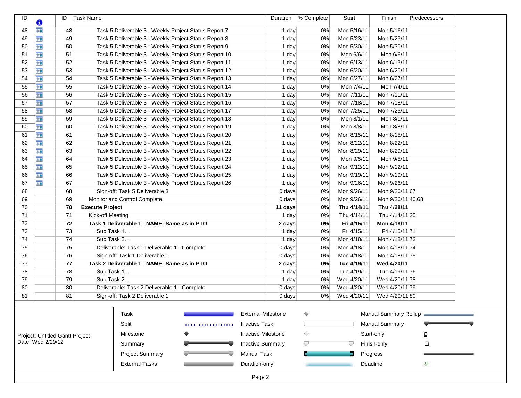| ID<br>O                                              | ID | Task Name              |                                                       |                                                        | Duration                  | % Complete | Start       | Finish                | Predecessors          |  |
|------------------------------------------------------|----|------------------------|-------------------------------------------------------|--------------------------------------------------------|---------------------------|------------|-------------|-----------------------|-----------------------|--|
| <b>III</b><br>48                                     | 48 |                        | Task 5 Deliverable 3 - Weekly Project Status Report 7 |                                                        | 1 day                     | 0%         | Mon 5/16/11 | Mon 5/16/11           |                       |  |
| H.<br>49                                             | 49 |                        | Task 5 Deliverable 3 - Weekly Project Status Report 8 |                                                        | 1 day                     | 0%         | Mon 5/23/11 | Mon 5/23/11           |                       |  |
| <b>III</b><br>50                                     | 50 |                        | Task 5 Deliverable 3 - Weekly Project Status Report 9 |                                                        | 1 day                     | 0%         | Mon 5/30/11 | Mon 5/30/11           |                       |  |
| 51<br><b>III</b>                                     | 51 |                        |                                                       | Task 5 Deliverable 3 - Weekly Project Status Report 10 | 1 day                     | 0%         | Mon 6/6/11  | Mon 6/6/11            |                       |  |
| H.<br>52                                             | 52 |                        |                                                       | Task 5 Deliverable 3 - Weekly Project Status Report 11 | 1 day                     | 0%         | Mon 6/13/11 | Mon 6/13/11           |                       |  |
| <b>III</b><br>53                                     | 53 |                        |                                                       | Task 5 Deliverable 3 - Weekly Project Status Report 12 | 1 day                     | 0%         | Mon 6/20/11 | Mon 6/20/11           |                       |  |
| <b>III</b><br>54                                     | 54 |                        |                                                       | Task 5 Deliverable 3 - Weekly Project Status Report 13 | 1 day                     | 0%         | Mon 6/27/11 | Mon 6/27/11           |                       |  |
| <b>III</b><br>55                                     | 55 |                        |                                                       | Task 5 Deliverable 3 - Weekly Project Status Report 14 | 1 day                     | 0%         | Mon 7/4/11  | Mon 7/4/11            |                       |  |
| <b>III</b><br>56                                     | 56 |                        |                                                       | Task 5 Deliverable 3 - Weekly Project Status Report 15 | 1 day                     | 0%         | Mon 7/11/11 | Mon 7/11/11           |                       |  |
| <b>III</b><br>57                                     | 57 |                        |                                                       | Task 5 Deliverable 3 - Weekly Project Status Report 16 | 1 day                     | 0%         | Mon 7/18/11 | Mon 7/18/11           |                       |  |
| <b>III</b><br>58                                     | 58 |                        |                                                       | Task 5 Deliverable 3 - Weekly Project Status Report 17 | 1 day                     | 0%         | Mon 7/25/11 | Mon 7/25/11           |                       |  |
| 59<br>H.                                             | 59 |                        |                                                       | Task 5 Deliverable 3 - Weekly Project Status Report 18 | 1 day                     | 0%         | Mon 8/1/11  | Mon 8/1/11            |                       |  |
| <b>III</b><br>60                                     | 60 |                        |                                                       | Task 5 Deliverable 3 - Weekly Project Status Report 19 | 1 day                     | 0%         | Mon 8/8/11  | Mon 8/8/11            |                       |  |
| <b>III</b><br>61                                     | 61 |                        |                                                       | Task 5 Deliverable 3 - Weekly Project Status Report 20 | 1 day                     | 0%         | Mon 8/15/11 | Mon 8/15/11           |                       |  |
| <b>III</b><br>62                                     | 62 |                        |                                                       | Task 5 Deliverable 3 - Weekly Project Status Report 21 | 1 day                     | 0%         | Mon 8/22/11 | Mon 8/22/11           |                       |  |
| <b>III</b><br>63                                     | 63 |                        |                                                       | Task 5 Deliverable 3 - Weekly Project Status Report 22 | 1 day                     | 0%         | Mon 8/29/11 | Mon 8/29/11           |                       |  |
| <b>III</b><br>64                                     | 64 |                        |                                                       | Task 5 Deliverable 3 - Weekly Project Status Report 23 | 1 day                     | 0%         | Mon 9/5/11  | Mon 9/5/11            |                       |  |
| <b>III</b><br>65                                     | 65 |                        |                                                       | Task 5 Deliverable 3 - Weekly Project Status Report 24 | 1 day                     | 0%         | Mon 9/12/11 | Mon 9/12/11           |                       |  |
| <b>III</b><br>66                                     | 66 |                        |                                                       | Task 5 Deliverable 3 - Weekly Project Status Report 25 | 1 day                     | 0%         | Mon 9/19/11 | Mon 9/19/11           |                       |  |
| 67<br><b>FIE</b>                                     | 67 |                        |                                                       | Task 5 Deliverable 3 - Weekly Project Status Report 26 | 1 day                     | 0%         | Mon 9/26/11 | Mon 9/26/11           |                       |  |
| 68                                                   | 68 |                        | Sign-off: Task 5 Deliverable 3                        |                                                        | $0$ days                  | 0%         | Mon 9/26/11 | Mon 9/26/11 67        |                       |  |
| 69                                                   | 69 |                        | Monitor and Control Complete                          |                                                        | 0 days                    | 0%         | Mon 9/26/11 | Mon 9/26/11 40,68     |                       |  |
| 70                                                   | 70 | <b>Execute Project</b> |                                                       |                                                        | 11 days                   | 0%         | Thu 4/14/11 | Thu 4/28/11           |                       |  |
| 71                                                   | 71 | Kick-off Meeting       |                                                       |                                                        | 1 day                     | 0%         | Thu 4/14/11 | Thu 4/14/11 25        |                       |  |
| 72                                                   | 72 |                        | Task 1 Deliverable 1 - NAME: Same as in PTO           |                                                        | 2 days                    | 0%         | Fri 4/15/11 | Mon 4/18/11           |                       |  |
| 73                                                   | 73 | Sub Task 1             |                                                       |                                                        | 1 day                     | 0%         | Fri 4/15/11 | Fri 4/15/11 71        |                       |  |
| 74                                                   | 74 | Sub Task 2             |                                                       |                                                        | 1 day                     | 0%         | Mon 4/18/11 | Mon 4/18/11 73        |                       |  |
| 75                                                   | 75 |                        | Deliverable: Task 1 Deliverable 1 - Complete          |                                                        | $0$ days                  | 0%         | Mon 4/18/11 | Mon 4/18/11 74        |                       |  |
| 76                                                   | 76 |                        | Sign-off: Task 1 Deliverable 1                        |                                                        | $0$ days                  | 0%         | Mon 4/18/11 | Mon 4/18/11 75        |                       |  |
| 77                                                   | 77 |                        | Task 2 Deliverable 1 - NAME: Same as in PTO           |                                                        | 2 days                    | 0%         | Tue 4/19/11 | Wed 4/20/11           |                       |  |
| 78                                                   | 78 | Sub Task 1             |                                                       |                                                        | 1 day                     | 0%         | Tue 4/19/11 | Tue 4/19/11 76        |                       |  |
| 79                                                   | 79 | Sub Task 2             |                                                       |                                                        | 1 day                     | 0%         | Wed 4/20/11 | Wed 4/20/11 78        |                       |  |
| 80                                                   | 80 |                        | Deliverable: Task 2 Deliverable 1 - Complete          |                                                        | 0 days                    | 0%         | Wed 4/20/11 | Wed 4/20/11 79        |                       |  |
| 81                                                   | 81 |                        | Sign-off: Task 2 Deliverable 1                        |                                                        | $0$ days                  | 0%         | Wed 4/20/11 | Wed 4/20/11 80        |                       |  |
|                                                      |    |                        |                                                       |                                                        |                           |            |             |                       |                       |  |
|                                                      |    |                        | Task                                                  |                                                        | <b>External Milestone</b> | ♦          |             |                       | Manual Summary Rollup |  |
|                                                      |    |                        | Split                                                 | .                                                      | <b>Inactive Task</b>      |            |             | <b>Manual Summary</b> |                       |  |
|                                                      |    |                        | Milestone                                             |                                                        | <b>Inactive Milestone</b> | ◇          |             | Start-only            |                       |  |
|                                                      |    |                        |                                                       |                                                        |                           |            |             |                       |                       |  |
|                                                      |    |                        | Summary                                               |                                                        | <b>Inactive Summary</b>   |            |             | Finish-only           | ב                     |  |
| Project: Untitled Gantt Project<br>Date: Wed 2/29/12 |    |                        | <b>Project Summary</b>                                |                                                        | <b>Manual Task</b>        |            |             |                       |                       |  |
|                                                      |    |                        | <b>External Tasks</b>                                 |                                                        | Duration-only             |            |             | Progress<br>Deadline  | ⇩                     |  |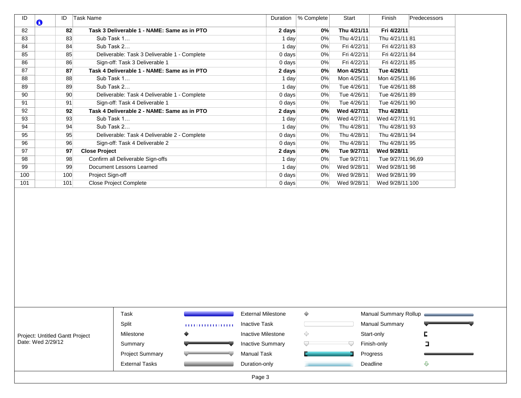| ID  | O | ID  | Task Name                                    | Duration | % Complete | Start       | Finish            | Predecessors |
|-----|---|-----|----------------------------------------------|----------|------------|-------------|-------------------|--------------|
| 82  |   | 82  | Task 3 Deliverable 1 - NAME: Same as in PTO  | 2 days   | $0\%$      | Thu 4/21/11 | Fri 4/22/11       |              |
| 83  |   | 83  | Sub Task 1                                   | 1 day    | 0%         | Thu 4/21/11 | Thu 4/21/11 81    |              |
| 84  |   | 84  | Sub Task 2                                   | 1 day    | $0\%$      | Fri 4/22/11 | Fri 4/22/11 83    |              |
| 85  |   | 85  | Deliverable: Task 3 Deliverable 1 - Complete | $0$ days | 0%         | Fri 4/22/11 | Fri 4/22/11 84    |              |
| 86  |   | 86  | Sign-off: Task 3 Deliverable 1               | $0$ days | 0%         | Fri 4/22/11 | Fri 4/22/11 85    |              |
| 87  |   | 87  | Task 4 Deliverable 1 - NAME: Same as in PTO  | 2 days   | $0\%$      | Mon 4/25/11 | Tue 4/26/11       |              |
| 88  |   | 88  | Sub Task 1                                   | 1 day    | 0%         | Mon 4/25/11 | Mon 4/25/11 86    |              |
| 89  |   | 89  | Sub Task 2                                   | 1 day    | $0\%$      | Tue 4/26/11 | Tue 4/26/11 88    |              |
| 90  |   | 90  | Deliverable: Task 4 Deliverable 1 - Complete | $0$ days | 0%         | Tue 4/26/11 | Tue 4/26/11 89    |              |
| 91  |   | 91  | Sign-off: Task 4 Deliverable 1               | $0$ days | $0\%$      | Tue 4/26/11 | Tue 4/26/11 90    |              |
| 92  |   | 92  | Task 4 Deliverable 2 - NAME: Same as in PTO  | 2 days   | $0\%$      | Wed 4/27/11 | Thu 4/28/11       |              |
| 93  |   | 93  | Sub Task 1                                   | 1 day    | 0%         | Wed 4/27/11 | Wed 4/27/11 91    |              |
| 94  |   | 94  | Sub Task 2                                   | 1 day    | $0\%$      | Thu 4/28/11 | Thu 4/28/11 93    |              |
| 95  |   | 95  | Deliverable: Task 4 Deliverable 2 - Complete | $0$ days | $0\%$      | Thu 4/28/11 | Thu 4/28/11 94    |              |
| 96  |   | 96  | Sign-off: Task 4 Deliverable 2               | $0$ days | $0\%$      | Thu 4/28/11 | Thu 4/28/11 95    |              |
| 97  |   | 97  | <b>Close Project</b>                         | 2 days   | 0%         | Tue 9/27/11 | Wed 9/28/11       |              |
| 98  |   | 98  | Confirm all Deliverable Sign-offs            | 1 day    | 0%         | Tue 9/27/11 | Tue 9/27/11 96,69 |              |
| 99  |   | 99  | Document Lessons Learned                     | 1 day    | $0\%$      | Wed 9/28/11 | Wed 9/28/11 98    |              |
| 100 |   | 100 | Project Sign-off                             | $0$ days | $0\%$      | Wed 9/28/11 | Wed 9/28/11 99    |              |
| 101 |   | 101 | <b>Close Project Complete</b>                | $0$ days | 0%         | Wed 9/28/11 | Wed 9/28/11 100   |              |

|                                 | Task                   |   | <b>External Milestone</b><br>Manual Summary Rollup<br><b>Manual Summary</b><br><b>Inactive Task</b><br><b>Inactive Milestone</b><br>Start-only<br>Finish-only<br><b>Inactive Summary</b> |          |   |
|---------------------------------|------------------------|---|------------------------------------------------------------------------------------------------------------------------------------------------------------------------------------------|----------|---|
|                                 | Split                  | . |                                                                                                                                                                                          |          |   |
| Project: Untitled Gantt Project | Milestone              |   |                                                                                                                                                                                          |          |   |
| Date: Wed 2/29/12               | Summary                |   |                                                                                                                                                                                          |          |   |
|                                 | <b>Project Summary</b> |   | Manual Task                                                                                                                                                                              | Progress |   |
|                                 | <b>External Tasks</b>  |   | Duration-only                                                                                                                                                                            | Deadline | ⊕ |
|                                 |                        |   | Page 3                                                                                                                                                                                   |          |   |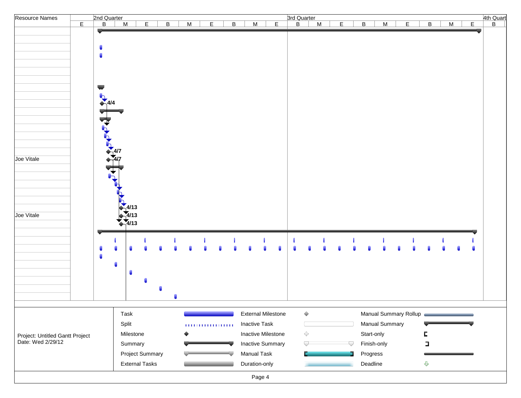| Resource Names                                       |   |                      | 2nd Quarter              |                    |                        |                |   |   |                |                      |                           |                  |   |   |                |             |                       |    |                         |   |         |   |
|------------------------------------------------------|---|----------------------|--------------------------|--------------------|------------------------|----------------|---|---|----------------|----------------------|---------------------------|------------------|---|---|----------------|-------------|-----------------------|----|-------------------------|---|---------|---|
|                                                      | E |                      | $\overline{B}$           | M                  | E                      | $\overline{B}$ | M | E | $\overline{B}$ | M                    | $\mathsf E$               | 3rd Quarter<br>B | M | E | $\overline{B}$ | M           |                       | E. | B                       | M |         | E |
|                                                      |   |                      |                          |                    |                        |                |   |   |                |                      |                           |                  |   |   |                |             |                       |    |                         |   |         |   |
|                                                      |   | $\blacksquare$       |                          |                    |                        |                |   |   |                |                      |                           |                  |   |   |                |             |                       |    |                         |   |         |   |
|                                                      |   |                      |                          |                    |                        |                |   |   |                |                      |                           |                  |   |   |                |             |                       |    |                         |   |         |   |
|                                                      |   |                      | $\blacksquare$           |                    |                        |                |   |   |                |                      |                           |                  |   |   |                |             |                       |    |                         |   |         |   |
|                                                      |   |                      |                          |                    |                        |                |   |   |                |                      |                           |                  |   |   |                |             |                       |    |                         |   |         |   |
|                                                      |   |                      |                          |                    |                        |                |   |   |                |                      |                           |                  |   |   |                |             |                       |    |                         |   |         |   |
|                                                      |   | $\blacktriangledown$ |                          |                    |                        |                |   |   |                |                      |                           |                  |   |   |                |             |                       |    |                         |   |         |   |
|                                                      |   |                      | $\frac{1}{\sqrt{4}}$ 4/4 |                    |                        |                |   |   |                |                      |                           |                  |   |   |                |             |                       |    |                         |   |         |   |
|                                                      |   |                      |                          |                    |                        |                |   |   |                |                      |                           |                  |   |   |                |             |                       |    |                         |   |         |   |
|                                                      |   |                      |                          |                    |                        |                |   |   |                |                      |                           |                  |   |   |                |             |                       |    |                         |   |         |   |
|                                                      |   |                      |                          |                    |                        |                |   |   |                |                      |                           |                  |   |   |                |             |                       |    |                         |   |         |   |
|                                                      |   |                      |                          |                    |                        |                |   |   |                |                      |                           |                  |   |   |                |             |                       |    |                         |   |         |   |
|                                                      |   |                      |                          |                    |                        |                |   |   |                |                      |                           |                  |   |   |                |             |                       |    |                         |   |         |   |
|                                                      |   |                      | $\frac{1}{47}$           |                    |                        |                |   |   |                |                      |                           |                  |   |   |                |             |                       |    |                         |   |         |   |
| Joe Vitale                                           |   |                      |                          |                    |                        |                |   |   |                |                      |                           |                  |   |   |                |             |                       |    |                         |   |         |   |
|                                                      |   |                      |                          |                    |                        |                |   |   |                |                      |                           |                  |   |   |                |             |                       |    |                         |   |         |   |
|                                                      |   |                      | $\vec{r}$                |                    |                        |                |   |   |                |                      |                           |                  |   |   |                |             |                       |    |                         |   |         |   |
|                                                      |   |                      |                          |                    |                        |                |   |   |                |                      |                           |                  |   |   |                |             |                       |    |                         |   |         |   |
|                                                      |   |                      |                          |                    |                        |                |   |   |                |                      |                           |                  |   |   |                |             |                       |    |                         |   |         |   |
|                                                      |   |                      |                          |                    |                        |                |   |   |                |                      |                           |                  |   |   |                |             |                       |    |                         |   |         |   |
|                                                      |   |                      |                          | $\frac{4}{1}$ 4/13 |                        |                |   |   |                |                      |                           |                  |   |   |                |             |                       |    |                         |   |         |   |
| Joe Vitale                                           |   |                      |                          | $\frac{1}{2}$ 4/13 |                        |                |   |   |                |                      |                           |                  |   |   |                |             |                       |    |                         |   |         |   |
|                                                      |   |                      |                          |                    |                        |                |   |   |                |                      |                           |                  |   |   |                |             |                       |    |                         |   |         |   |
|                                                      |   |                      |                          |                    |                        |                |   |   |                |                      |                           |                  |   |   |                |             |                       |    |                         |   |         |   |
|                                                      |   | $\blacksquare$       |                          |                    |                        |                |   |   |                |                      |                           |                  |   |   |                |             |                       |    |                         |   |         |   |
|                                                      |   |                      |                          |                    |                        |                |   |   |                |                      |                           |                  |   |   |                |             |                       |    |                         |   |         |   |
|                                                      |   | $\bullet$            |                          |                    |                        |                |   |   |                |                      |                           |                  |   |   |                |             |                       |    |                         |   |         |   |
|                                                      |   |                      |                          |                    |                        |                |   |   |                |                      |                           |                  |   |   |                |             |                       |    |                         |   |         |   |
|                                                      |   |                      |                          | $\blacksquare$     |                        |                |   |   |                |                      |                           |                  |   |   |                |             |                       |    |                         |   |         |   |
|                                                      |   |                      |                          |                    |                        |                |   |   |                |                      |                           |                  |   |   |                |             |                       |    |                         |   |         |   |
|                                                      |   |                      |                          |                    |                        |                |   |   |                |                      |                           |                  |   |   |                |             |                       |    |                         |   |         |   |
|                                                      |   |                      |                          |                    |                        |                |   |   |                |                      |                           |                  |   |   |                |             |                       |    |                         |   |         |   |
|                                                      |   |                      |                          |                    |                        |                |   |   |                |                      |                           |                  |   |   |                |             |                       |    |                         |   |         |   |
|                                                      |   |                      |                          | Task               |                        |                |   |   |                |                      | <b>External Milestone</b> | $\Diamond$       |   |   |                |             | Manual Summary Rollup |    |                         |   |         |   |
|                                                      |   |                      |                          | Split              |                        |                |   |   |                | <b>Inactive Task</b> |                           |                  |   |   |                |             | Manual Summary        |    |                         |   | _______ |   |
|                                                      |   |                      |                          | Milestone          |                        |                |   |   |                |                      | Inactive Milestone        | $\Diamond$       |   |   |                | Start-only  |                       |    | C                       |   |         |   |
| Project: Untitled Gantt Project<br>Date: Wed 2/29/12 |   |                      |                          | Summary            |                        |                |   |   |                |                      | <b>Inactive Summary</b>   | $\sqrt{}$        |   | V |                | Finish-only |                       |    | E                       |   |         |   |
|                                                      |   |                      |                          |                    | <b>Project Summary</b> |                |   |   |                | Manual Task          |                           |                  |   |   |                | Progress    |                       |    |                         |   |         |   |
|                                                      |   |                      |                          |                    | <b>External Tasks</b>  |                |   |   |                | Duration-only        |                           |                  |   |   |                | Deadline    |                       |    | $\overline{\mathbf{v}}$ |   |         |   |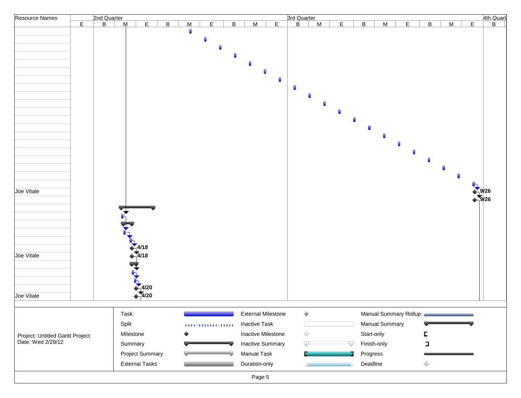